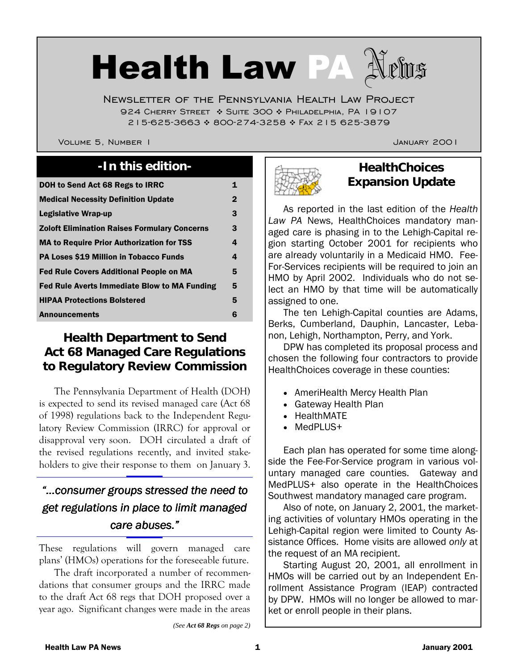# Health Law PA

Newsletter of the Pennsylvania Health Law Project 924 CHERRY STREET  $\cdot$  Suite 300  $\cdot$  Philadelphia, PA 19107 215-625-3663 \* 800-274-3258 \* FAX 215 625-3879

VOLUME 5, NUMBER 1 JANUARY 2001

# **-In this edition- HealthChoices**

| DOH to Send Act 68 Regs to IRRC                     | 1           |
|-----------------------------------------------------|-------------|
| <b>Medical Necessity Definition Update</b>          | $\mathbf 2$ |
| Legislative Wrap-up                                 | 3           |
| <b>Zoloft Elimination Raises Formulary Concerns</b> | 3           |
| <b>MA to Require Prior Authorization for TSS</b>    | 4           |
| <b>PA Loses \$19 Million in Tobacco Funds</b>       | 4           |
| <b>Fed Rule Covers Additional People on MA</b>      | 5           |
| Fed Rule Averts Immediate Blow to MA Funding        | 5           |
| <b>HIPAA Protections Bolstered</b>                  | 5           |
| <b>Announcements</b>                                | 6           |

# **Health Department to Send Act 68 Managed Care Regulations to Regulatory Review Commission**

 The Pennsylvania Department of Health (DOH) is expected to send its revised managed care (Act 68 of 1998) regulations back to the Independent Regulatory Review Commission (IRRC) for approval or disapproval very soon. DOH circulated a draft of the revised regulations recently, and invited stakeholders to give their response to them on January 3.

# *"…consumer groups stressed the need to the need to get regulations in place to limit managed get regulations in place to limit managed care abuses." care*

These regulations will govern managed care plans' (HMOs) operations for the foreseeable future.

 The draft incorporated a number of recommendations that consumer groups and the IRRC made to the draft Act 68 regs that DOH proposed over a year ago. Significant changes were made in the areas

*(See Act 68 Regs on page 2)* 



# **Expansion Update**

 As reported in the last edition of the *Health Law PA* News, HealthChoices mandatory managed care is phasing in to the Lehigh-Capital region starting October 2001 for recipients who are already voluntarily in a Medicaid HMO. Fee-For-Services recipients will be required to join an HMO by April 2002. Individuals who do not select an HMO by that time will be automatically assigned to one.

 The ten Lehigh-Capital counties are Adams, Berks, Cumberland, Dauphin, Lancaster, Lebanon, Lehigh, Northampton, Perry, and York.

 DPW has completed its proposal process and chosen the following four contractors to provide HealthChoices coverage in these counties:

- AmeriHealth Mercy Health Plan
- Gateway Health Plan
- HealthMATE
- MedPLUS+

 Each plan has operated for some time alongside the Fee-For-Service program in various voluntary managed care counties. Gateway and MedPLUS+ also operate in the HealthChoices Southwest mandatory managed care program.

 Also of note, on January 2, 2001, the marketing activities of voluntary HMOs operating in the Lehigh-Capital region were limited to County Assistance Offices. Home visits are allowed *only* at the request of an MA recipient.

 Starting August 20, 2001, all enrollment in HMOs will be carried out by an Independent Enrollment Assistance Program (IEAP) contracted by DPW. HMOs will no longer be allowed to market or enroll people in their plans.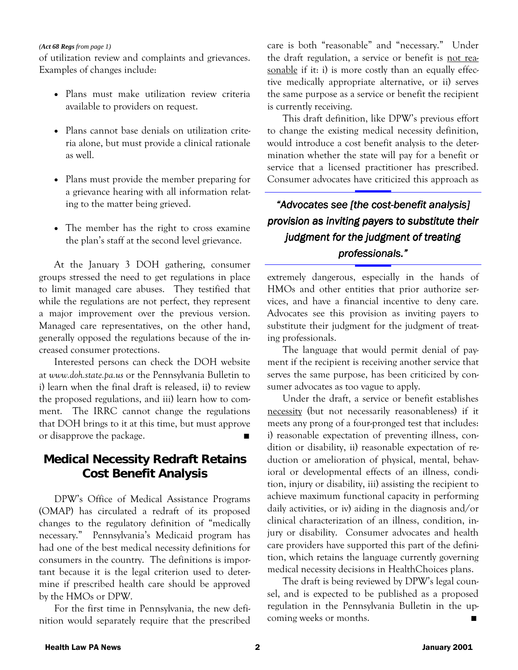#### *(Act 68 Regs from page 1)*

of utilization review and complaints and grievances. Examples of changes include:

- Plans must make utilization review criteria available to providers on request.
- ! Plans cannot base denials on utilization criteria alone, but must provide a clinical rationale as well.
- Plans must provide the member preparing for a grievance hearing with all information relating to the matter being grieved.
- The member has the right to cross examine the plan's staff at the second level grievance.

 At the January 3 DOH gathering, consumer groups stressed the need to get regulations in place to limit managed care abuses. They testified that while the regulations are not perfect, they represent a major improvement over the previous version. Managed care representatives, on the other hand, generally opposed the regulations because of the increased consumer protections.

 Interested persons can check the DOH website at *www.doh.state.pa.us* or the Pennsylvania Bulletin to i) learn when the final draft is released, ii) to review the proposed regulations, and iii) learn how to comment. The IRRC cannot change the regulations that DOH brings to it at this time, but must approve or disapprove the package.

#### **Medical Necessity Redraft Retains Cost Benefit Analysis**

 DPW's Office of Medical Assistance Programs (OMAP) has circulated a redraft of its proposed changes to the regulatory definition of "medically necessary." Pennsylvania's Medicaid program has had one of the best medical necessity definitions for consumers in the country. The definitions is important because it is the legal criterion used to determine if prescribed health care should be approved by the HMOs or DPW.

 For the first time in Pennsylvania, the new definition would separately require that the prescribed

care is both "reasonable" and "necessary." Under the draft regulation, a service or benefit is not reasonable if it: i) is more costly than an equally effective medically appropriate alternative, or ii) serves the same purpose as a service or benefit the recipient is currently receiving.

 This draft definition, like DPW's previous effort to change the existing medical necessity definition, would introduce a cost benefit analysis to the determination whether the state will pay for a benefit or service that a licensed practitioner has prescribed. Consumer advocates have criticized this approach as

# *"Advocates see [the cost- see [the cost-benefit analysis] benefit benefit provision as inviting payers to substitute their provision as inviting payers to substitute their judgment for the judgment of treating professionals."*

extremely dangerous, especially in the hands of HMOs and other entities that prior authorize services, and have a financial incentive to deny care. Advocates see this provision as inviting payers to substitute their judgment for the judgment of treating professionals.

 The language that would permit denial of payment if the recipient is receiving another service that serves the same purpose, has been criticized by consumer advocates as too vague to apply.

 Under the draft, a service or benefit establishes necessity (but not necessarily reasonableness) if it meets any prong of a four-pronged test that includes: i) reasonable expectation of preventing illness, condition or disability, ii) reasonable expectation of reduction or amelioration of physical, mental, behavioral or developmental effects of an illness, condition, injury or disability, iii) assisting the recipient to achieve maximum functional capacity in performing daily activities, or iv) aiding in the diagnosis and/or clinical characterization of an illness, condition, injury or disability. Consumer advocates and health care providers have supported this part of the definition, which retains the language currently governing medical necessity decisions in HealthChoices plans.

 The draft is being reviewed by DPW's legal counsel, and is expected to be published as a proposed regulation in the Pennsylvania Bulletin in the upcoming weeks or months. "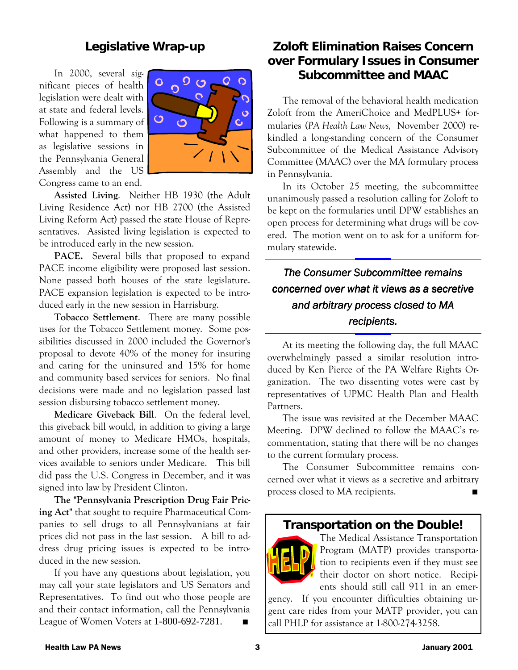#### **Legislative Wrap-up**

 In 2000, several significant pieces of health legislation were dealt with at state and federal levels. Following is a summary of what happened to them as legislative sessions in the Pennsylvania General Assembly and the US Congress came to an end.



 **Assisted Living**. Neither HB 1930 (the Adult Living Residence Act) nor HB 2700 (the Assisted Living Reform Act) passed the state House of Representatives. Assisted living legislation is expected to be introduced early in the new session.

 **PACE.** Several bills that proposed to expand PACE income eligibility were proposed last session. None passed both houses of the state legislature. PACE expansion legislation is expected to be introduced early in the new session in Harrisburg.

 **Tobacco Settlement**. There are many possible uses for the Tobacco Settlement money. Some possibilities discussed in 2000 included the Governor's proposal to devote 40% of the money for insuring and caring for the uninsured and 15% for home and community based services for seniors. No final decisions were made and no legislation passed last session disbursing tobacco settlement money.

 **Medicare Giveback Bill**. On the federal level, this giveback bill would, in addition to giving a large amount of money to Medicare HMOs, hospitals, and other providers, increase some of the health services available to seniors under Medicare. This bill did pass the U.S. Congress in December, and it was signed into law by President Clinton.

 **The "Pennsylvania Prescription Drug Fair Pricing Act"** that sought to require Pharmaceutical Companies to sell drugs to all Pennsylvanians at fair prices did not pass in the last session. A bill to address drug pricing issues is expected to be introduced in the new session.

 If you have any questions about legislation, you may call your state legislators and US Senators and Representatives. To find out who those people are and their contact information, call the Pennsylvania League of Women Voters at  $1-800-692-7281$ .

# **Zoloft Elimination Raises Concern over Formulary Issues in Consumer Subcommittee and MAAC**

 The removal of the behavioral health medication Zoloft from the AmeriChoice and MedPLUS+ formularies (*PA Health Law News,* November 2000) rekindled a long-standing concern of the Consumer Subcommittee of the Medical Assistance Advisory Committee (MAAC) over the MA formulary process in Pennsylvania.

 In its October 25 meeting, the subcommittee unanimously passed a resolution calling for Zoloft to be kept on the formularies until DPW establishes an open process for determining what drugs will be covered. The motion went on to ask for a uniform formulary statewide.

# *The Consumer Subcommittee remains concerned over what it views as a secretive concerned over what it secretive and arbitrary process closed to MA and arbitrary process closed to MA recipients.*

 At its meeting the following day, the full MAAC overwhelmingly passed a similar resolution introduced by Ken Pierce of the PA Welfare Rights Organization. The two dissenting votes were cast by representatives of UPMC Health Plan and Health Partners.

 The issue was revisited at the December MAAC Meeting. DPW declined to follow the MAAC's recommentation, stating that there will be no changes to the current formulary process.

 The Consumer Subcommittee remains concerned over what it views as a secretive and arbitrary process closed to MA recipients. "

#### **Transportation on the Double!**



The Medical Assistance Transportation Program (MATP) provides transportation to recipients even if they must see their doctor on short notice. Recipients should still call 911 in an emer-

gency. If you encounter difficulties obtaining urgent care rides from your MATP provider, you can call PHLP for assistance at 1-800-274-3258.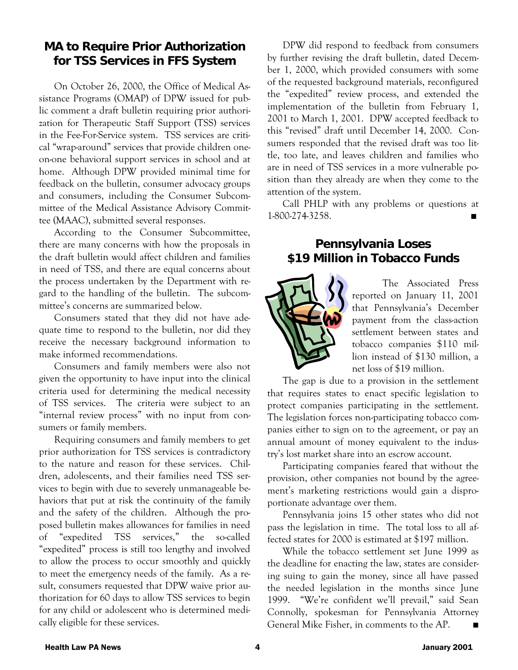# **MA to Require Prior Authorization for TSS Services in FFS System**

 On October 26, 2000, the Office of Medical Assistance Programs (OMAP) of DPW issued for public comment a draft bulletin requiring prior authorization for Therapeutic Staff Support (TSS) services in the Fee-For-Service system. TSS services are critical "wrap-around" services that provide children oneon-one behavioral support services in school and at home. Although DPW provided minimal time for feedback on the bulletin, consumer advocacy groups and consumers, including the Consumer Subcommittee of the Medical Assistance Advisory Committee (MAAC), submitted several responses.

 According to the Consumer Subcommittee, there are many concerns with how the proposals in the draft bulletin would affect children and families in need of TSS, and there are equal concerns about the process undertaken by the Department with regard to the handling of the bulletin. The subcommittee's concerns are summarized below.

 Consumers stated that they did not have adequate time to respond to the bulletin, nor did they receive the necessary background information to make informed recommendations.

 Consumers and family members were also not given the opportunity to have input into the clinical criteria used for determining the medical necessity of TSS services. The criteria were subject to an "internal review process" with no input from consumers or family members.

 Requiring consumers and family members to get prior authorization for TSS services is contradictory to the nature and reason for these services. Children, adolescents, and their families need TSS services to begin with due to severely unmanageable behaviors that put at risk the continuity of the family and the safety of the children. Although the proposed bulletin makes allowances for families in need of "expedited TSS services," the so-called "expedited" process is still too lengthy and involved to allow the process to occur smoothly and quickly to meet the emergency needs of the family. As a result, consumers requested that DPW waive prior authorization for 60 days to allow TSS services to begin for any child or adolescent who is determined medically eligible for these services.

 DPW did respond to feedback from consumers by further revising the draft bulletin, dated December 1, 2000, which provided consumers with some of the requested background materials, reconfigured the "expedited" review process, and extended the implementation of the bulletin from February 1, 2001 to March 1, 2001. DPW accepted feedback to this "revised" draft until December 14, 2000. Consumers responded that the revised draft was too little, too late, and leaves children and families who are in need of TSS services in a more vulnerable position than they already are when they come to the attention of the system.

 Call PHLP with any problems or questions at 1-800-274-3258. "

#### **Pennsylvania Loses \$19 Million in Tobacco Funds**



 The Associated Press reported on January 11, 2001 that Pennsylvania's December payment from the class-action settlement between states and tobacco companies \$110 million instead of \$130 million, a net loss of \$19 million.

 The gap is due to a provision in the settlement that requires states to enact specific legislation to protect companies participating in the settlement. The legislation forces non-participating tobacco companies either to sign on to the agreement, or pay an annual amount of money equivalent to the industry's lost market share into an escrow account.

 Participating companies feared that without the provision, other companies not bound by the agreement's marketing restrictions would gain a disproportionate advantage over them.

 Pennsylvania joins 15 other states who did not pass the legislation in time. The total loss to all affected states for 2000 is estimated at \$197 million.

 While the tobacco settlement set June 1999 as the deadline for enacting the law, states are considering suing to gain the money, since all have passed the needed legislation in the months since June 1999. "We're confident we'll prevail," said Sean Connolly, spokesman for Pennsylvania Attorney General Mike Fisher, in comments to the AP.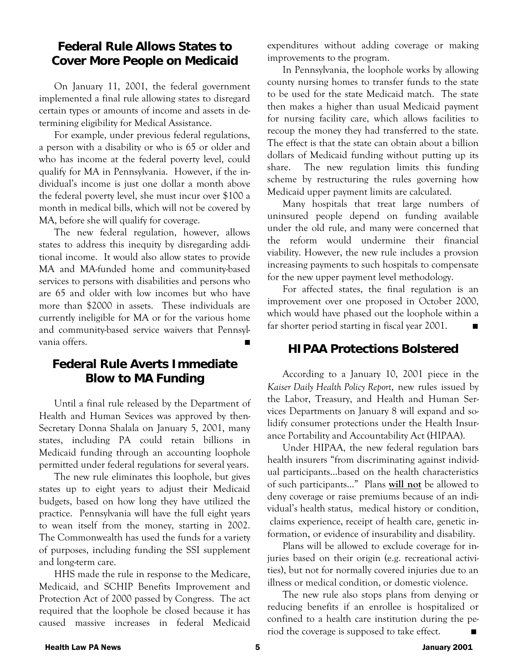#### **Federal Rule Allows States to Cover More People on Medicaid**

 On January 11, 2001, the federal government implemented a final rule allowing states to disregard certain types or amounts of income and assets in determining eligibility for Medical Assistance.

 For example, under previous federal regulations, a person with a disability or who is 65 or older and who has income at the federal poverty level, could qualify for MA in Pennsylvania. However, if the individual's income is just one dollar a month above the federal poverty level, she must incur over \$100 a month in medical bills, which will not be covered by MA, before she will qualify for coverage.

 The new federal regulation, however, allows states to address this inequity by disregarding additional income. It would also allow states to provide MA and MA-funded home and community-based services to persons with disabilities and persons who are 65 and older with low incomes but who have more than \$2000 in assets. These individuals are currently ineligible for MA or for the various home and community-based service waivers that Pennsylvania offers.

# **Federal Rule Averts Immediate Blow to MA Funding**

 Until a final rule released by the Department of Health and Human Sevices was approved by then-Secretary Donna Shalala on January 5, 2001, many states, including PA could retain billions in Medicaid funding through an accounting loophole permitted under federal regulations for several years.

 The new rule eliminates this loophole, but gives states up to eight years to adjust their Medicaid budgets, based on how long they have utilized the practice. Pennsylvania will have the full eight years to wean itself from the money, starting in 2002. The Commonwealth has used the funds for a variety of purposes, including funding the SSI supplement and long-term care.

 HHS made the rule in response to the Medicare, Medicaid, and SCHIP Benefits Improvement and Protection Act of 2000 passed by Congress. The act required that the loophole be closed because it has caused massive increases in federal Medicaid expenditures without adding coverage or making improvements to the program.

 In Pennsylvania, the loophole works by allowing county nursing homes to transfer funds to the state to be used for the state Medicaid match. The state then makes a higher than usual Medicaid payment for nursing facility care, which allows facilities to recoup the money they had transferred to the state. The effect is that the state can obtain about a billion dollars of Medicaid funding without putting up its share. The new regulation limits this funding scheme by restructuring the rules governing how Medicaid upper payment limits are calculated.

 Many hospitals that treat large numbers of uninsured people depend on funding available under the old rule, and many were concerned that the reform would undermine their financial viability. However, the new rule includes a provsion increasing payments to such hospitals to compensate for the new upper payment level methodology.

 For affected states, the final regulation is an improvement over one proposed in October 2000, which would have phased out the loophole within a far shorter period starting in fiscal year 2001.

#### **HIPAA Protections Bolstered**

 According to a January 10, 2001 piece in the *Kaiser Daily Health Policy Report*, new rules issued by the Labor, Treasury, and Health and Human Services Departments on January 8 will expand and solidify consumer protections under the Health Insurance Portability and Accountability Act (HIPAA).

 Under HIPAA, the new federal regulation bars health insurers "from discriminating against individual participants…based on the health characteristics of such participants…" Plans **will not** be allowed to deny coverage or raise premiums because of an individual's health status,""medical history or condition, claims experience, receipt of health care, genetic information, or evidence of insurability and disability.

 Plans will be allowed to exclude coverage for injuries based on their origin (e.g. recreational activities), but not for normally covered injuries due to an illness or medical condition, or domestic violence.

 The new rule also stops plans from denying or reducing benefits if an enrollee is hospitalized or confined to a health care institution during the period the coverage is supposed to take effect.